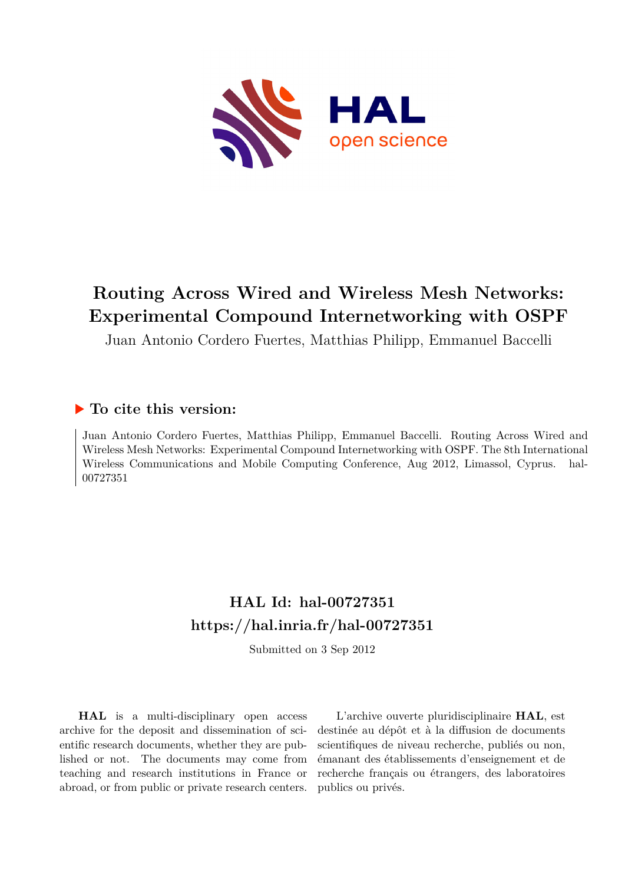

# **Routing Across Wired and Wireless Mesh Networks: Experimental Compound Internetworking with OSPF**

Juan Antonio Cordero Fuertes, Matthias Philipp, Emmanuel Baccelli

# **To cite this version:**

Juan Antonio Cordero Fuertes, Matthias Philipp, Emmanuel Baccelli. Routing Across Wired and Wireless Mesh Networks: Experimental Compound Internetworking with OSPF. The 8th International Wireless Communications and Mobile Computing Conference, Aug 2012, Limassol, Cyprus. hal-00727351ff

# **HAL Id: hal-00727351 <https://hal.inria.fr/hal-00727351>**

Submitted on 3 Sep 2012

**HAL** is a multi-disciplinary open access archive for the deposit and dissemination of scientific research documents, whether they are published or not. The documents may come from teaching and research institutions in France or abroad, or from public or private research centers.

L'archive ouverte pluridisciplinaire **HAL**, est destinée au dépôt et à la diffusion de documents scientifiques de niveau recherche, publiés ou non, émanant des établissements d'enseignement et de recherche français ou étrangers, des laboratoires publics ou privés.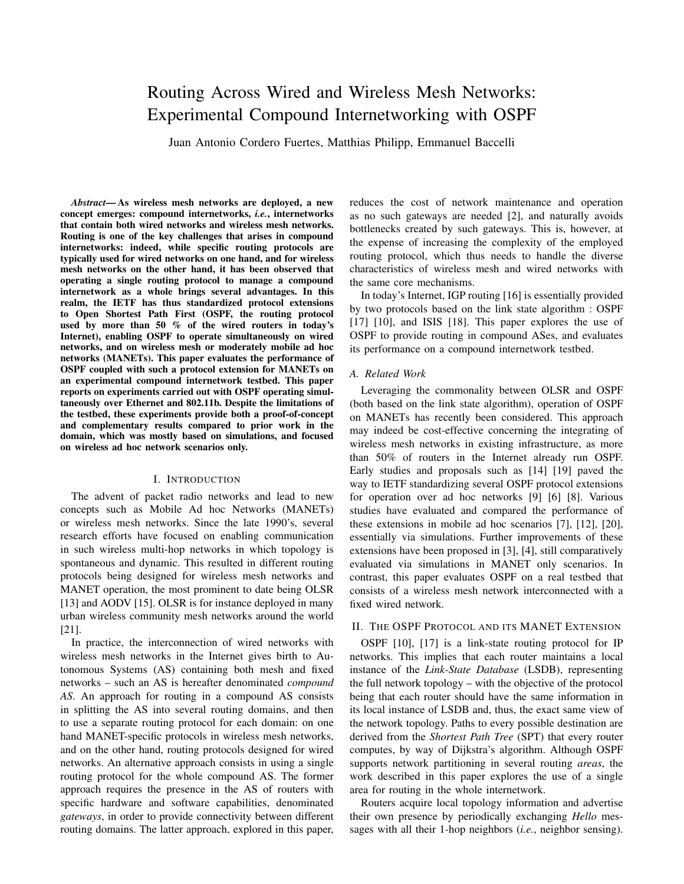# Routing Across Wired and Wireless Mesh Networks: Experimental Compound Internetworking with OSPF

Juan Antonio Cordero Fuertes, Matthias Philipp, Emmanuel Baccelli

*Abstract*— As wireless mesh networks are deployed, a new concept emerges: compound internetworks, *i.e.*, internetworks that contain both wired networks and wireless mesh networks. Routing is one of the key challenges that arises in compound internetworks: indeed, while specific routing protocols are typically used for wired networks on one hand, and for wireless mesh networks on the other hand, it has been observed that operating a single routing protocol to manage a compound internetwork as a whole brings several advantages. In this realm, the IETF has thus standardized protocol extensions to Open Shortest Path First (OSPF, the routing protocol used by more than 50 % of the wired routers in today's Internet), enabling OSPF to operate simultaneously on wired networks, and on wireless mesh or moderately mobile ad hoc networks (MANETs). This paper evaluates the performance of OSPF coupled with such a protocol extension for MANETs on an experimental compound internetwork testbed. This paper reports on experiments carried out with OSPF operating simultaneously over Ethernet and 802.11b. Despite the limitations of the testbed, these experiments provide both a proof-of-concept and complementary results compared to prior work in the domain, which was mostly based on simulations, and focused on wireless ad hoc network scenarios only.

#### I. INTRODUCTION

The advent of packet radio networks and lead to new concepts such as Mobile Ad hoc Networks (MANETs) or wireless mesh networks. Since the late 1990's, several research efforts have focused on enabling communication in such wireless multi-hop networks in which topology is spontaneous and dynamic. This resulted in different routing protocols being designed for wireless mesh networks and MANET operation, the most prominent to date being OLSR [13] and AODV [15]. OLSR is for instance deployed in many urban wireless community mesh networks around the world [21].

In practice, the interconnection of wired networks with wireless mesh networks in the Internet gives birth to Autonomous Systems (AS) containing both mesh and fixed networks – such an AS is hereafter denominated *compound AS*. An approach for routing in a compound AS consists in splitting the AS into several routing domains, and then to use a separate routing protocol for each domain: on one hand MANET-specific protocols in wireless mesh networks, and on the other hand, routing protocols designed for wired networks. An alternative approach consists in using a single routing protocol for the whole compound AS. The former approach requires the presence in the AS of routers with specific hardware and software capabilities, denominated *gateways*, in order to provide connectivity between different routing domains. The latter approach, explored in this paper, reduces the cost of network maintenance and operation as no such gateways are needed [2], and naturally avoids bottlenecks created by such gateways. This is, however, at the expense of increasing the complexity of the employed routing protocol, which thus needs to handle the diverse characteristics of wireless mesh and wired networks with the same core mechanisms.

In today's Internet, IGP routing [16] is essentially provided by two protocols based on the link state algorithm : OSPF [17] [10], and ISIS [18]. This paper explores the use of OSPF to provide routing in compound ASes, and evaluates its performance on a compound internetwork testbed.

#### *A. Related Work*

Leveraging the commonality between OLSR and OSPF (both based on the link state algorithm), operation of OSPF on MANETs has recently been considered. This approach may indeed be cost-effective concerning the integrating of wireless mesh networks in existing infrastructure, as more than 50% of routers in the Internet already run OSPF. Early studies and proposals such as [14] [19] paved the way to IETF standardizing several OSPF protocol extensions for operation over ad hoc networks [9] [6] [8]. Various studies have evaluated and compared the performance of these extensions in mobile ad hoc scenarios [7], [12], [20], essentially via simulations. Further improvements of these extensions have been proposed in [3], [4], still comparatively evaluated via simulations in MANET only scenarios. In contrast, this paper evaluates OSPF on a real testbed that consists of a wireless mesh network interconnected with a fixed wired network.

# II. THE OSPF PROTOCOL AND ITS MANET EXTENSION

OSPF [10], [17] is a link-state routing protocol for IP networks. This implies that each router maintains a local instance of the *Link-State Database* (LSDB), representing the full network topology – with the objective of the protocol being that each router should have the same information in its local instance of LSDB and, thus, the exact same view of the network topology. Paths to every possible destination are derived from the *Shortest Path Tree* (SPT) that every router computes, by way of Dijkstra's algorithm. Although OSPF supports network partitioning in several routing *areas*, the work described in this paper explores the use of a single area for routing in the whole internetwork.

Routers acquire local topology information and advertise their own presence by periodically exchanging *Hello* messages with all their 1-hop neighbors (*i.e.*, neighbor sensing).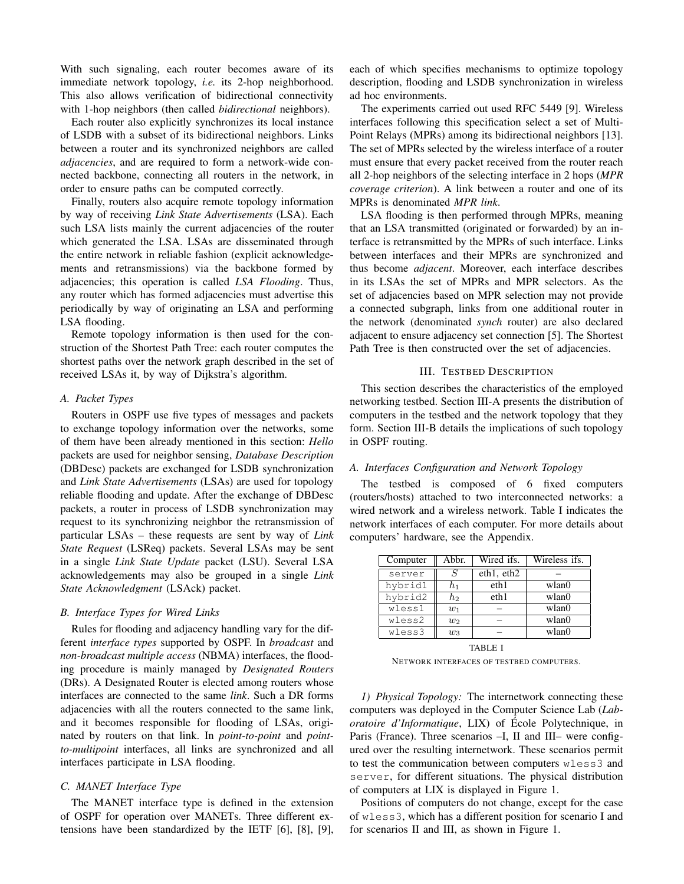With such signaling, each router becomes aware of its immediate network topology, *i.e.* its 2-hop neighborhood. This also allows verification of bidirectional connectivity with 1-hop neighbors (then called *bidirectional* neighbors).

Each router also explicitly synchronizes its local instance of LSDB with a subset of its bidirectional neighbors. Links between a router and its synchronized neighbors are called *adjacencies*, and are required to form a network-wide connected backbone, connecting all routers in the network, in order to ensure paths can be computed correctly.

Finally, routers also acquire remote topology information by way of receiving *Link State Advertisements* (LSA). Each such LSA lists mainly the current adjacencies of the router which generated the LSA. LSAs are disseminated through the entire network in reliable fashion (explicit acknowledgements and retransmissions) via the backbone formed by adjacencies; this operation is called *LSA Flooding*. Thus, any router which has formed adjacencies must advertise this periodically by way of originating an LSA and performing LSA flooding.

Remote topology information is then used for the construction of the Shortest Path Tree: each router computes the shortest paths over the network graph described in the set of received LSAs it, by way of Dijkstra's algorithm.

#### *A. Packet Types*

Routers in OSPF use five types of messages and packets to exchange topology information over the networks, some of them have been already mentioned in this section: *Hello* packets are used for neighbor sensing, *Database Description* (DBDesc) packets are exchanged for LSDB synchronization and *Link State Advertisements* (LSAs) are used for topology reliable flooding and update. After the exchange of DBDesc packets, a router in process of LSDB synchronization may request to its synchronizing neighbor the retransmission of particular LSAs – these requests are sent by way of *Link State Request* (LSReq) packets. Several LSAs may be sent in a single *Link State Update* packet (LSU). Several LSA acknowledgements may also be grouped in a single *Link State Acknowledgment* (LSAck) packet.

### *B. Interface Types for Wired Links*

Rules for flooding and adjacency handling vary for the different *interface types* supported by OSPF. In *broadcast* and *non-broadcast multiple access* (NBMA) interfaces, the flooding procedure is mainly managed by *Designated Routers* (DRs). A Designated Router is elected among routers whose interfaces are connected to the same *link*. Such a DR forms adjacencies with all the routers connected to the same link, and it becomes responsible for flooding of LSAs, originated by routers on that link. In *point-to-point* and *pointto-multipoint* interfaces, all links are synchronized and all interfaces participate in LSA flooding.

# *C. MANET Interface Type*

The MANET interface type is defined in the extension of OSPF for operation over MANETs. Three different extensions have been standardized by the IETF [6], [8], [9],

each of which specifies mechanisms to optimize topology description, flooding and LSDB synchronization in wireless ad hoc environments.

The experiments carried out used RFC 5449 [9]. Wireless interfaces following this specification select a set of Multi-Point Relays (MPRs) among its bidirectional neighbors [13]. The set of MPRs selected by the wireless interface of a router must ensure that every packet received from the router reach all 2-hop neighbors of the selecting interface in 2 hops (*MPR coverage criterion*). A link between a router and one of its MPRs is denominated *MPR link*.

LSA flooding is then performed through MPRs, meaning that an LSA transmitted (originated or forwarded) by an interface is retransmitted by the MPRs of such interface. Links between interfaces and their MPRs are synchronized and thus become *adjacent*. Moreover, each interface describes in its LSAs the set of MPRs and MPR selectors. As the set of adjacencies based on MPR selection may not provide a connected subgraph, links from one additional router in the network (denominated *synch* router) are also declared adjacent to ensure adjacency set connection [5]. The Shortest Path Tree is then constructed over the set of adjacencies.

# III. TESTBED DESCRIPTION

This section describes the characteristics of the employed networking testbed. Section III-A presents the distribution of computers in the testbed and the network topology that they form. Section III-B details the implications of such topology in OSPF routing.

# *A. Interfaces Configuration and Network Topology*

The testbed is composed of 6 fixed computers (routers/hosts) attached to two interconnected networks: a wired network and a wireless network. Table I indicates the network interfaces of each computer. For more details about computers' hardware, see the Appendix.

| Computer | Abbr. | Wired ifs. | Wireless ifs. |
|----------|-------|------------|---------------|
| server   | S     | eth1, eth2 |               |
| hybrid1  | $h_1$ | eth1       | wlan0         |
| hybrid2  | h2    | eth1       | wlan0         |
| wless1   | $w_1$ |            | wlan0         |
| wless2   | $w_2$ |            | wlan()        |
| wless3   | $w_3$ |            | wlan0         |
|          |       |            |               |

TABLE I NETWORK INTERFACES OF TESTBED COMPUTERS.

*1) Physical Topology:* The internetwork connecting these computers was deployed in the Computer Science Lab (*Laboratoire d'Informatique*, LIX) of École Polytechnique, in Paris (France). Three scenarios –I, II and III– were configured over the resulting internetwork. These scenarios permit to test the communication between computers wless3 and server, for different situations. The physical distribution of computers at LIX is displayed in Figure 1.

Positions of computers do not change, except for the case of wless3, which has a different position for scenario I and for scenarios II and III, as shown in Figure 1.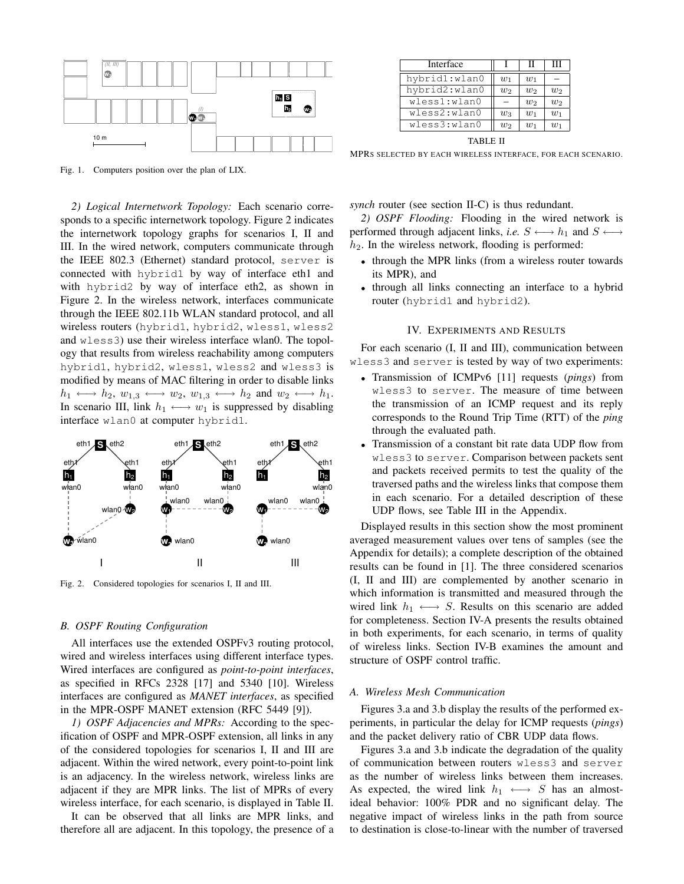

Fig. 1. Computers position over the plan of LIX.

*2) Logical Internetwork Topology:* Each scenario corresponds to a specific internetwork topology. Figure 2 indicates the internetwork topology graphs for scenarios I, II and III. In the wired network, computers communicate through the IEEE 802.3 (Ethernet) standard protocol, server is connected with hybrid1 by way of interface eth1 and with hybrid2 by way of interface eth2, as shown in Figure 2. In the wireless network, interfaces communicate through the IEEE 802.11b WLAN standard protocol, and all wireless routers (hybrid1, hybrid2, wless1, wless2 and wless3) use their wireless interface wlan0. The topology that results from wireless reachability among computers hybrid1, hybrid2, wless1, wless2 and wless3 is modified by means of MAC filtering in order to disable links  $h_1 \longleftrightarrow h_2, w_{1,3} \longleftrightarrow w_2, w_{1,3} \longleftrightarrow h_2$  and  $w_2 \longleftrightarrow h_1$ . In scenario III, link  $h_1 \longleftrightarrow w_1$  is suppressed by disabling interface wlan0 at computer hybrid1.



Fig. 2. Considered topologies for scenarios I, II and III.

### *B. OSPF Routing Configuration*

All interfaces use the extended OSPFv3 routing protocol, wired and wireless interfaces using different interface types. Wired interfaces are configured as *point-to-point interfaces*, as specified in RFCs 2328 [17] and 5340 [10]. Wireless interfaces are configured as *MANET interfaces*, as specified in the MPR-OSPF MANET extension (RFC 5449 [9]).

*1) OSPF Adjacencies and MPRs:* According to the specification of OSPF and MPR-OSPF extension, all links in any of the considered topologies for scenarios I, II and III are adjacent. Within the wired network, every point-to-point link is an adjacency. In the wireless network, wireless links are adjacent if they are MPR links. The list of MPRs of every wireless interface, for each scenario, is displayed in Table II.

It can be observed that all links are MPR links, and therefore all are adjacent. In this topology, the presence of a

| Interface     |       | ш     | Ш     |
|---------------|-------|-------|-------|
| hybrid1:wlan0 | $w_1$ | $w_1$ |       |
| hybrid2:wlan0 | $w_2$ | $w_2$ | $w_2$ |
| wless1:wlan0  |       | $w_2$ | $w_2$ |
| wless2:wlan0  | $w_3$ | $w_1$ | $w_1$ |
| wless3:wlan0  | $w_2$ | $w_1$ | $w_1$ |

TABLE II

MPRS SELECTED BY EACH WIRELESS INTERFACE, FOR EACH SCENARIO.

*synch* router (see section II-C) is thus redundant.

*2) OSPF Flooding:* Flooding in the wired network is performed through adjacent links, *i.e.*  $S \longleftrightarrow h_1$  and  $S \longleftrightarrow$  $h_2$ . In the wireless network, flooding is performed:

- through the MPR links (from a wireless router towards its MPR), and
- through all links connecting an interface to a hybrid router (hybrid1 and hybrid2).

#### IV. EXPERIMENTS AND RESULTS

For each scenario (I, II and III), communication between wless3 and server is tested by way of two experiments:

- Transmission of ICMPv6 [11] requests (*pings*) from wless3 to server. The measure of time between the transmission of an ICMP request and its reply corresponds to the Round Trip Time (RTT) of the *ping* through the evaluated path.
- Transmission of a constant bit rate data UDP flow from wless3 to server. Comparison between packets sent and packets received permits to test the quality of the traversed paths and the wireless links that compose them in each scenario. For a detailed description of these UDP flows, see Table III in the Appendix.

Displayed results in this section show the most prominent averaged measurement values over tens of samples (see the Appendix for details); a complete description of the obtained results can be found in [1]. The three considered scenarios (I, II and III) are complemented by another scenario in which information is transmitted and measured through the wired link  $h_1 \leftrightarrow S$ . Results on this scenario are added for completeness. Section IV-A presents the results obtained in both experiments, for each scenario, in terms of quality of wireless links. Section IV-B examines the amount and structure of OSPF control traffic.

#### *A. Wireless Mesh Communication*

Figures 3.a and 3.b display the results of the performed experiments, in particular the delay for ICMP requests (*pings*) and the packet delivery ratio of CBR UDP data flows.

Figures 3.a and 3.b indicate the degradation of the quality of communication between routers wless3 and server as the number of wireless links between them increases. As expected, the wired link  $h_1 \leftrightarrow S$  has an almostideal behavior: 100% PDR and no significant delay. The negative impact of wireless links in the path from source to destination is close-to-linear with the number of traversed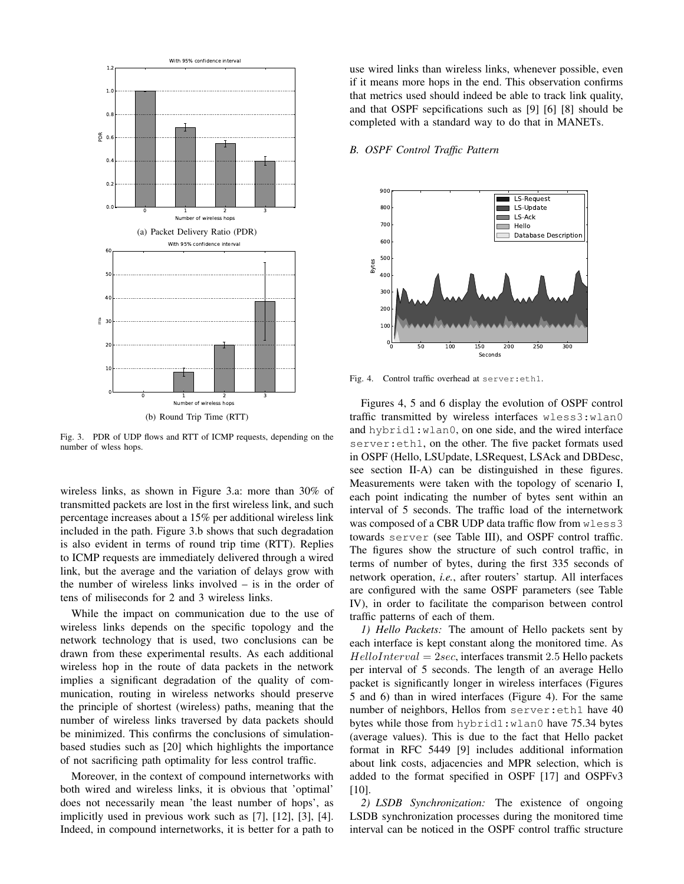

Fig. 3. PDR of UDP flows and RTT of ICMP requests, depending on the number of wless hops.

wireless links, as shown in Figure 3.a: more than 30% of transmitted packets are lost in the first wireless link, and such percentage increases about a 15% per additional wireless link included in the path. Figure 3.b shows that such degradation is also evident in terms of round trip time (RTT). Replies to ICMP requests are immediately delivered through a wired link, but the average and the variation of delays grow with the number of wireless links involved – is in the order of tens of miliseconds for 2 and 3 wireless links.

While the impact on communication due to the use of wireless links depends on the specific topology and the network technology that is used, two conclusions can be drawn from these experimental results. As each additional wireless hop in the route of data packets in the network implies a significant degradation of the quality of communication, routing in wireless networks should preserve the principle of shortest (wireless) paths, meaning that the number of wireless links traversed by data packets should be minimized. This confirms the conclusions of simulationbased studies such as [20] which highlights the importance of not sacrificing path optimality for less control traffic.

Moreover, in the context of compound internetworks with both wired and wireless links, it is obvious that 'optimal' does not necessarily mean 'the least number of hops', as implicitly used in previous work such as [7], [12], [3], [4]. Indeed, in compound internetworks, it is better for a path to use wired links than wireless links, whenever possible, even if it means more hops in the end. This observation confirms that metrics used should indeed be able to track link quality, and that OSPF sepcifications such as [9] [6] [8] should be completed with a standard way to do that in MANETs.

# *B. OSPF Control Traffic Pattern*



Fig. 4. Control traffic overhead at server:eth1.

Figures 4, 5 and 6 display the evolution of OSPF control traffic transmitted by wireless interfaces wless3:wlan0 and hybrid1:wlan0, on one side, and the wired interface server:eth1, on the other. The five packet formats used in OSPF (Hello, LSUpdate, LSRequest, LSAck and DBDesc, see section II-A) can be distinguished in these figures. Measurements were taken with the topology of scenario I, each point indicating the number of bytes sent within an interval of 5 seconds. The traffic load of the internetwork was composed of a CBR UDP data traffic flow from wless3 towards server (see Table III), and OSPF control traffic. The figures show the structure of such control traffic, in terms of number of bytes, during the first 335 seconds of network operation, *i.e.*, after routers' startup. All interfaces are configured with the same OSPF parameters (see Table IV), in order to facilitate the comparison between control traffic patterns of each of them.

*1) Hello Packets:* The amount of Hello packets sent by each interface is kept constant along the monitored time. As  $Hello Interval = 2sec$ , interfaces transmit 2.5 Hello packets per interval of 5 seconds. The length of an average Hello packet is significantly longer in wireless interfaces (Figures 5 and 6) than in wired interfaces (Figure 4). For the same number of neighbors, Hellos from server:eth1 have 40 bytes while those from hybrid1:wlan0 have 75.34 bytes (average values). This is due to the fact that Hello packet format in RFC 5449 [9] includes additional information about link costs, adjacencies and MPR selection, which is added to the format specified in OSPF [17] and OSPFv3 [10].

*2) LSDB Synchronization:* The existence of ongoing LSDB synchronization processes during the monitored time interval can be noticed in the OSPF control traffic structure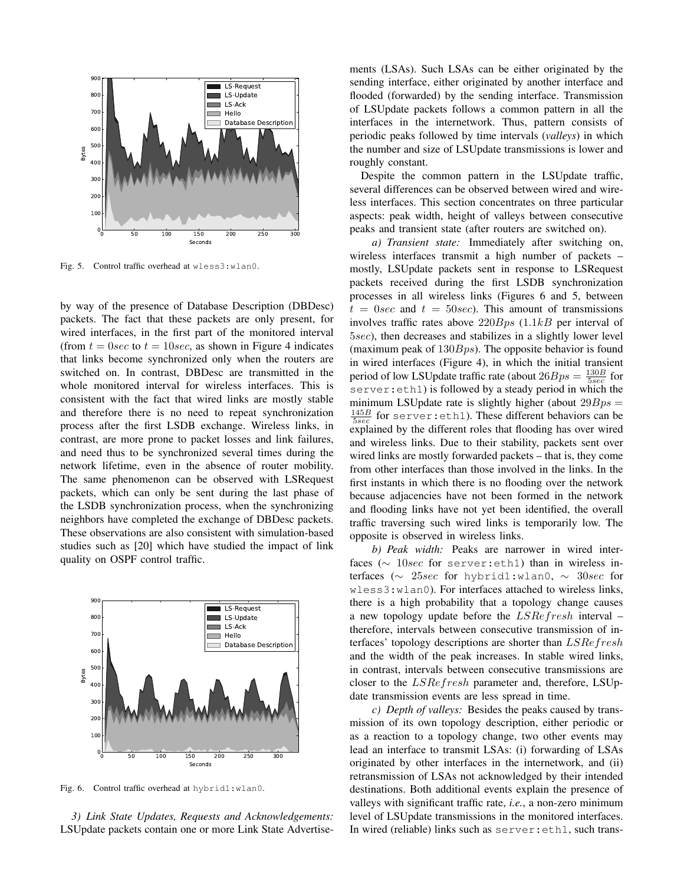

Fig. 5. Control traffic overhead at wless3:wlan0.

by way of the presence of Database Description (DBDesc) packets. The fact that these packets are only present, for wired interfaces, in the first part of the monitored interval (from  $t = 0$ sec to  $t = 10$ sec, as shown in Figure 4 indicates that links become synchronized only when the routers are switched on. In contrast, DBDesc are transmitted in the whole monitored interval for wireless interfaces. This is consistent with the fact that wired links are mostly stable and therefore there is no need to repeat synchronization process after the first LSDB exchange. Wireless links, in contrast, are more prone to packet losses and link failures, and need thus to be synchronized several times during the network lifetime, even in the absence of router mobility. The same phenomenon can be observed with LSRequest packets, which can only be sent during the last phase of the LSDB synchronization process, when the synchronizing neighbors have completed the exchange of DBDesc packets. These observations are also consistent with simulation-based studies such as [20] which have studied the impact of link quality on OSPF control traffic.



Fig. 6. Control traffic overhead at hybrid1:wlan0.

*3) Link State Updates, Requests and Acknowledgements:* LSUpdate packets contain one or more Link State Advertisements (LSAs). Such LSAs can be either originated by the sending interface, either originated by another interface and flooded (forwarded) by the sending interface. Transmission of LSUpdate packets follows a common pattern in all the interfaces in the internetwork. Thus, pattern consists of periodic peaks followed by time intervals (*valleys*) in which the number and size of LSUpdate transmissions is lower and roughly constant.

Despite the common pattern in the LSUpdate traffic, several differences can be observed between wired and wireless interfaces. This section concentrates on three particular aspects: peak width, height of valleys between consecutive peaks and transient state (after routers are switched on).

*a) Transient state:* Immediately after switching on, wireless interfaces transmit a high number of packets – mostly, LSUpdate packets sent in response to LSRequest packets received during the first LSDB synchronization processes in all wireless links (Figures 6 and 5, between  $t = 0$ sec and  $t = 50$ sec). This amount of transmissions involves traffic rates above  $220Bps$  (1.1kB per interval of 5sec), then decreases and stabilizes in a slightly lower level (maximum peak of  $130Bps$ ). The opposite behavior is found in wired interfaces (Figure 4), in which the initial transient period of low LSUpdate traffic rate (about  $26Bps = \frac{130B}{5sec}$  for server:eth1) is followed by a steady period in which the minimum LSUpdate rate is slightly higher (about  $29Bps =$  $\frac{145B}{5sec}$  for server: eth1). These different behaviors can be explained by the different roles that flooding has over wired and wireless links. Due to their stability, packets sent over wired links are mostly forwarded packets – that is, they come from other interfaces than those involved in the links. In the first instants in which there is no flooding over the network because adjacencies have not been formed in the network and flooding links have not yet been identified, the overall traffic traversing such wired links is temporarily low. The opposite is observed in wireless links.

*b) Peak width:* Peaks are narrower in wired interfaces ( $\sim$  10sec for server:eth1) than in wireless interfaces ( $\sim$  25sec for hybrid1:wlan0,  $\sim$  30sec for wless3:wlan0). For interfaces attached to wireless links, there is a high probability that a topology change causes a new topology update before the LSRefresh interval – therefore, intervals between consecutive transmission of interfaces' topology descriptions are shorter than LSRefresh and the width of the peak increases. In stable wired links, in contrast, intervals between consecutive transmissions are closer to the LSRefresh parameter and, therefore, LSUpdate transmission events are less spread in time.

*c) Depth of valleys:* Besides the peaks caused by transmission of its own topology description, either periodic or as a reaction to a topology change, two other events may lead an interface to transmit LSAs: (i) forwarding of LSAs originated by other interfaces in the internetwork, and (ii) retransmission of LSAs not acknowledged by their intended destinations. Both additional events explain the presence of valleys with significant traffic rate, *i.e.*, a non-zero minimum level of LSUpdate transmissions in the monitored interfaces. In wired (reliable) links such as server:eth1, such trans